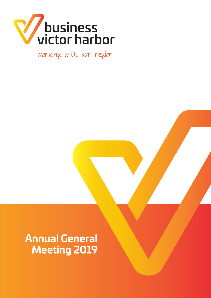

working with our region

# **Annual General Meeting 2019**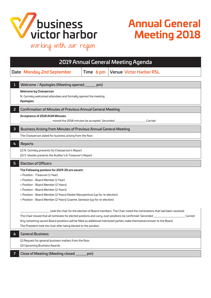

# **Annual General Meeting 2018**

working with our region

| <b>2019 Annual General Meeting Agenda</b> |                                                                                                                      |           |                                                                                                                          |         |  |
|-------------------------------------------|----------------------------------------------------------------------------------------------------------------------|-----------|--------------------------------------------------------------------------------------------------------------------------|---------|--|
|                                           | Date Monday 2nd September                                                                                            | Time 6 pm | <b>Venue Victor Harbor RSL</b>                                                                                           |         |  |
|                                           |                                                                                                                      |           |                                                                                                                          |         |  |
| ı                                         | Welcome / Apologies (Meeting opened _____<br>pm)                                                                     |           |                                                                                                                          |         |  |
|                                           | <b>Welcome by Chairperson</b><br>N. Gormley welcomed attendees and formally opened the meeting.<br><b>Apologies:</b> |           |                                                                                                                          |         |  |
| $\overline{2}$                            | <b>Confirmation of Minutes of Previous Annual General Meeting</b>                                                    |           |                                                                                                                          |         |  |
|                                           | Acceptance of 2018 AGM Minutes.<br>__ moved the 2018 minutes be accepted. Seconded ___________<br>Carried            |           |                                                                                                                          |         |  |
| $\overline{\mathbf{3}}$                   | Business Arising from Minutes of Previous Annual General Meeting                                                     |           |                                                                                                                          |         |  |
|                                           | The Chairperson asked for business arising from the floor.                                                           |           |                                                                                                                          |         |  |
| 4                                         | <b>Reports</b>                                                                                                       |           |                                                                                                                          |         |  |
|                                           | (1) N. Gormley presents his Chairperson's Report.<br>(2) S. Vowles presents the Auditor's & Treasurer's Report       |           |                                                                                                                          |         |  |
|                                           | <b>Election of Officers</b><br>5                                                                                     |           |                                                                                                                          |         |  |
|                                           |                                                                                                                      |           |                                                                                                                          |         |  |
|                                           | The Following positons for 2019/20 are vacant:                                                                       |           |                                                                                                                          |         |  |
|                                           | • Position - Treasurer (1 Year)                                                                                      |           |                                                                                                                          |         |  |
|                                           | • Position - Board Member (1 Year)                                                                                   |           |                                                                                                                          |         |  |
|                                           | • Position - Board Member (2 Years)                                                                                  |           |                                                                                                                          |         |  |
|                                           | • Position - Board Member (2 Years)                                                                                  |           |                                                                                                                          |         |  |
|                                           | • Position - Board Member (2 Years) Deidre Nieuwenhuis (up for re-election)                                          |           |                                                                                                                          |         |  |
|                                           | • Position - Board Member (2 Years) Graeme Jameson (up for re-election)                                              |           |                                                                                                                          |         |  |
|                                           |                                                                                                                      |           |                                                                                                                          |         |  |
|                                           |                                                                                                                      |           | took the chair for the election of Board members. The Chair noted the nominations that had been received.                |         |  |
|                                           | The Chair moved that all nominees for elected positons and carry-over positions be confirmed. Seconded ______        |           | Any remaining vacant Board positions will be filled as additional interested parties make themselves known to the Board. | Carried |  |
|                                           | The President took the chair after being elected to the position.                                                    |           |                                                                                                                          |         |  |
| 6                                         | <b>General Business</b>                                                                                              |           |                                                                                                                          |         |  |
|                                           | (1) Request for general business matters from the floor.                                                             |           |                                                                                                                          |         |  |
|                                           | (2) Upcoming Business Awards                                                                                         |           |                                                                                                                          |         |  |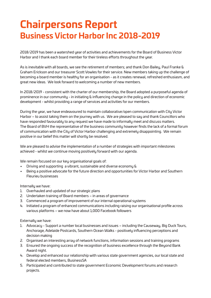# **Chairpersons Report Business Victor Harbor Inc 2018-2019**

2018/2019 has been a watershed year of activities and achievements for the Board of Business Victor Harbor and I thank each board member for their tireless efforts throughout the year.

As is inevitable with all boards, we see the retirement of members; and thank Don Bailey, Paul Franke & Graham Erickson and our treasurer Scott Vowles for their service. New members taking up the challenge of becoming a board member is healthy for an organisation - as it creates renewal, refreshed enthusiasm, and great new ideas. We look forward to welcoming a number of new members.

In 2018/2019 - consistent with the charter of our membership, the Board adopted a purposeful agenda of prominence in our community - in initiating & influencing change in the policy and direction of economic development - whilst providing a range of services and activities for our members.

During the year, we have endeavoured to maintain collaborative/open communication with City Victor Harbor – to assist taking them on the journey with us. We are pleased to say and thank Councillors who have responded favourably to any request we have made to informally meet and discuss matters. The Board of BVH the representative of the business community however finds the lack of a formal forum of communication with the City of Victor Harbor challenging and extremely disappointing. We remain positive in our belief this matter will shortly be resolved.

We are pleased to advise the implementation of a number of strategies with important milestones achieved - whilst we continue moving positively forward with our agenda.

We remain focused on our key organisational goals of:

- Driving and supporting a vibrant, sustainable and diverse economy &
- Being a positive advocate for the future direction and opportunities for Victor Harbor and Southern Fleurieu businesses

Internally we have:

- 1. Overhauled and updated of our strategic plans
- 2. Undertaken training of Board members in areas of governance
- 3. Commenced a program of improvement of our internal operational systems
- 4. Initiated a program of enhanced communications including raising our organisational profile across various platforms – we now have about 1,000 Facebook followers

Externally we have:

- 1. Advocacy Support a number local businesses and issues including the Causeway, Big Duck Tours, Anchorage, Adelaide Postcards, Southern Ocean Walks - positively influencing perceptions and decision making
- 2. Organised an interesting array of network functions, information sessions and training programs
- 3. Ensured the ongoing success of the recognition of business excellence through the Beyond Bank Award night.
- 4. Develop and enhanced our relationship with various state government agencies, our local state and federal elected members, BusinessSA
- 5. Participated and contributed to state government Economic Development forums and research projects.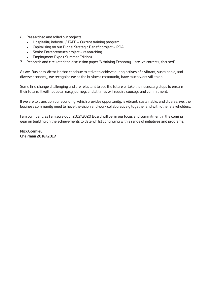- 6. Researched and rolled our projects:
	- Hospitality industry / TAFE Current training program
	- Capitalising on our Digital Strategic Benefit project RDA
	- Senior Entrepreneur's project researching
	- Employment Expo ( Summer Edition)
- 7. Research and circulated the discussion paper 'A thriving Economy are we correctly focused'

As we, Business Victor Harbor continue to strive to achieve our objectives of a vibrant, sustainable, and diverse economy, we recognise we as the business community have much work still to do.

Some find change challenging and are reluctant to see the future or take the necessary steps to ensure their future. It will not be an easy journey, and at times will require courage and commitment.

If we are to transition our economy, which provides opportunity, is vibrant, sustainable, and diverse, we, the business community need to have the vision and work collaboratively together and with other stakeholders.

I am confident; as I am sure your 2019/2020 Board will be, in our focus and commitment in the coming year on building on the achievements to date whilst continuing with a range of initiatives and programs.

**Nick Gormley Chairman 2018/2019**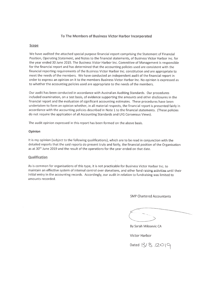#### To The Members of Business Victor Harbor Incorporated

#### Scope

We have audited the attached special purpose financial report comprising the Statement of Financial Position, Operating Statement, and Notes to the financial statements, of Business Victor Harbor Inc. for the year ended 30 June 2019. The Business Victor Harbor Inc. Committee of Management is responsible for the financial report and has determined that the accounting policies used are consistent with the financial reporting requirements of the Business Victor Harbor Inc. constitution and are appropriate to meet the needs of the members. We have conducted an independent audit of the financial report in order to express an opinion on it to the members Business Victor Harbor Inc. No opinion is expressed as to whether the accounting policies used are appropriate to the needs of the members.

Our audit has been conducted in accordance with Australian Auditing Standards. Our procedures included examination, on a test basis, of evidence supporting the amounts and other disclosures in the financial report and the evaluation of significant accounting estimates. These procedures have been undertaken to form an opinion whether, in all material respects, the financial report is presented fairly in accordance with the accounting policies described in Note 1 to the financial statements. (These policies do not require the application of all Accounting Standards and UIG Consensus Views).

The audit opinion expressed in this report has been formed on the above basis.

#### Opinion

It is my opinion (subject to the following qualifications), which are to be read in conjunction with the detailed reports that the said reports do present truly and fairly, the financial position of the Organisation as at 30<sup>th</sup> June 2019 and the result of the operations for the year ended on that date.

#### Qualification

As is common for organisations of this type, it is not practicable for Business Victor Harbor Inc. to maintain an effective system of internal control over donations, and other fund raising activities until their initial entry in the accounting records. Accordingly, our audit in relation to fundraising was limited to amounts recorded.

**SMP Chartered Accountants** 

By Sarah Milosevic CA

**Victor Harbor** 

Dated 13/8 /2019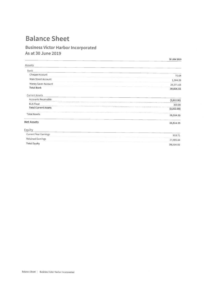### **Balance Sheet**

### **Business Victor Harbor Incorporated** As at 30 June 2019

|                             | 30 JUN 2019 |
|-----------------------------|-------------|
| <b>Assets</b>               |             |
| Bank                        |             |
| Cheque Account              | 70.64       |
| Main Street Account         | 1,384.26    |
| Money Saver Account         | 29,371.65   |
| <b>Total Bank</b>           | 30,826.55   |
| <b>Current Assets</b>       |             |
| Accounts Receivable         | (2,612.00)  |
| <b>BLN Float</b>            | 300.00      |
| <b>Total Current Assets</b> | (2,312.00)  |
| <b>Total Assets</b>         | 28,514.55   |
|                             | 28,514.55   |
|                             |             |
| Current Year Earnings       | 918.71      |
| <b>Retained Earnings</b>    | 27,595.84   |
| <b>Total Equity</b>         | 28,514.55   |
| <b>Net Assets</b><br>Equity |             |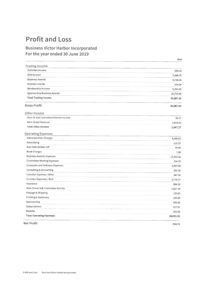## **Profit and Loss**

### **Business Victor Harbor Incorporated** For the year ended 30 June 2019

|                                       | 2019      |
|---------------------------------------|-----------|
| <b>Trading Income</b>                 |           |
| Activities Income                     | 200.00    |
| <b>BLN Income</b>                     | 5,488.70  |
| <b>Business Awards</b>                | 9,728.36  |
| Interest Income                       | 554.94    |
| Membership Income                     | 9,365.00  |
| Sponsorship Business Awards           | 10,750.00 |
| <b>Total Trading Income</b>           | 36,087.00 |
| <b>Gross Profit</b>                   | 36,087.00 |
| Other Income                          |           |
| Main St Sub Committee Interest Income | 29.27     |
| Main Street Revenue                   | 2,818.00  |
| <b>Total Other Income</b>             | 2,847.27  |
| <b>Operating Expenses</b>             |           |
| <b>Administration Charges</b>         | 8,090.00  |
| Advertising                           | 116.25    |
| Bad Debt Written Off                  | 99.00     |
| <b>Bank Charges</b>                   | 1.00      |
| <b>Business Awards Expenses</b>       | 15,420.32 |
| <b>Committee Meeting Expenses</b>     | 334.70    |
| Computer and Software Expenses        | 2,597.00  |
| Consulting & Accounting               | 330.00    |
| Function Expense / Other              | 347.00    |
| Function Expenses / BLN               | 3,778.57  |
| Insurance                             | 866.36    |
| Main Street Sub Committee Activity    | 3,827.40  |
| Postage & Shipping                    | 130.00    |
| Printing & Stationery                 | 295.00    |
| Sponsorship                           | 995.00    |
| Subscriptions                         | 427.91    |
| Website                               | 360.05    |
| <b>Total Operating Expenses</b>       | 38,015.56 |

Net Profit

918.71